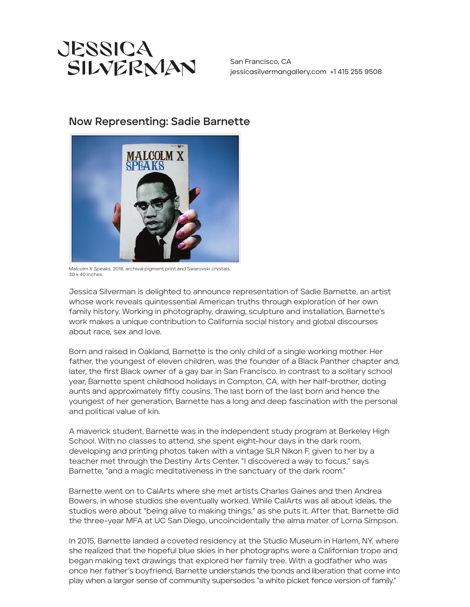

San Francisco, CA jessicasilvermangallery.com +1 415 255 9508

## Now Representing: Sadie Barnette



*Malcolm X Speaks,* 2018, archival pigment print and Swarovski crystals,  $30 \times 40$  inches

Jessica Silverman is delighted to announce representation of Sadie Barnette, an artist whose work reveals quintessential American truths through exploration of her own family history. Working in photography, drawing, sculpture and installation, Barnette's work makes a unique contribution to California social history and global discourses about race, sex and love.

Born and raised in Oakland, Barnette is the only child of a single working mother. Her father, the youngest of eleven children, was the founder of a Black Panther chapter and, later, the first Black owner of a gay bar in San Francisco. In contrast to a solitary school year, Barnette spent childhood holidays in Compton, CA, with her half-brother, doting aunts and approximately fifty cousins. The last born of the last born and hence the youngest of her generation, Barnette has a long and deep fascination with the personal and political value of kin.

A maverick student, Barnette was in the independent study program at Berkeley High School. With no classes to attend, she spent eight-hour days in the dark room, developing and printing photos taken with a vintage SLR Nikon F, given to her by a teacher met through the Destiny Arts Center. "I discovered a way to focus," says Barnette, "and a magic meditativeness in the sanctuary of the dark room."

Barnette went on to CalArts where she met artists Charles Gaines and then Andrea Bowers, in whose studios she eventually worked. While CalArts was all about ideas, the studios were about "being alive to making things," as she puts it. After that, Barnette did the three-year MFA at UC San Diego, uncoincidentally the alma mater of Lorna Simpson.

In 2015, Barnette landed a coveted residency at the Studio Museum in Harlem, NY, where she realized that the hopeful blue skies in her photographs were a Californian trope and began making text drawings that explored her family tree. With a godfather who was once her father's boyfriend, Barnette understands the bonds and liberation that come into play when a larger sense of community supersedes "a white picket fence version of family."